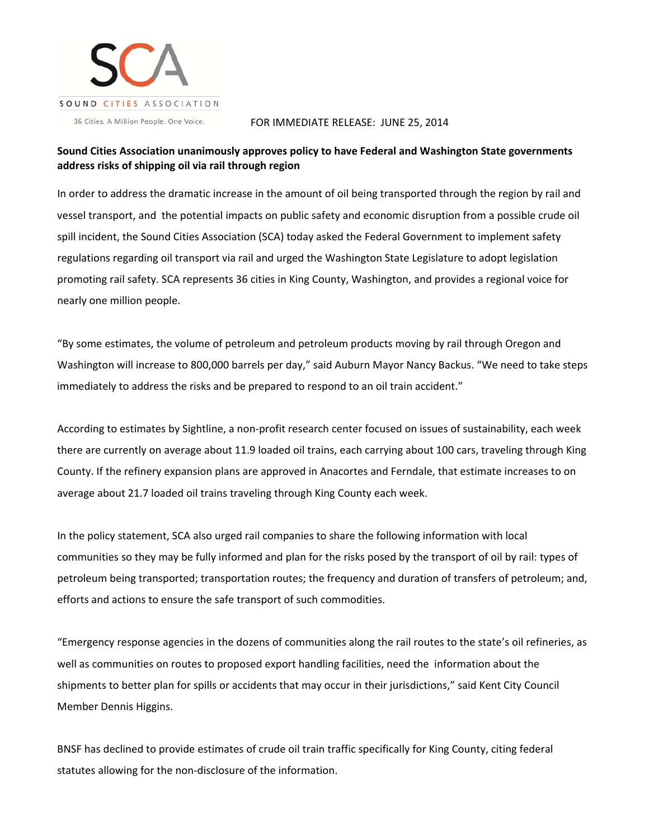

36 Cities. A Million People. One Voice.

## FOR IMMEDIATE RELEASE: JUNE 25, 2014

## **Sound Cities Association unanimously approves policy to have Federal and Washington State governments address risks of shipping oil via rail through region**

In order to address the dramatic increase in the amount of oil being transported through the region by rail and vessel transport, and the potential impacts on public safety and economic disruption from a possible crude oil spill incident, the Sound Cities Association (SCA) today asked the Federal Government to implement safety regulations regarding oil transport via rail and urged the Washington State Legislature to adopt legislation promoting rail safety. SCA represents 36 cities in King County, Washington, and provides a regional voice for nearly one million people.

"By some estimates, the volume of petroleum and petroleum products moving by rail through Oregon and Washington will increase to 800,000 barrels per day," said Auburn Mayor Nancy Backus. "We need to take steps immediately to address the risks and be prepared to respond to an oil train accident."

According to estimates by Sightline, a non‐profit research center focused on issues of sustainability, each week there are currently on average about 11.9 loaded oil trains, each carrying about 100 cars, traveling through King County. If the refinery expansion plans are approved in Anacortes and Ferndale, that estimate increases to on average about 21.7 loaded oil trains traveling through King County each week.

In the policy statement, SCA also urged rail companies to share the following information with local communities so they may be fully informed and plan for the risks posed by the transport of oil by rail: types of petroleum being transported; transportation routes; the frequency and duration of transfers of petroleum; and, efforts and actions to ensure the safe transport of such commodities.

"Emergency response agencies in the dozens of communities along the rail routes to the state's oil refineries, as well as communities on routes to proposed export handling facilities, need the information about the shipments to better plan for spills or accidents that may occur in their jurisdictions," said Kent City Council Member Dennis Higgins.

BNSF has declined to provide estimates of crude oil train traffic specifically for King County, citing federal statutes allowing for the non‐disclosure of the information.